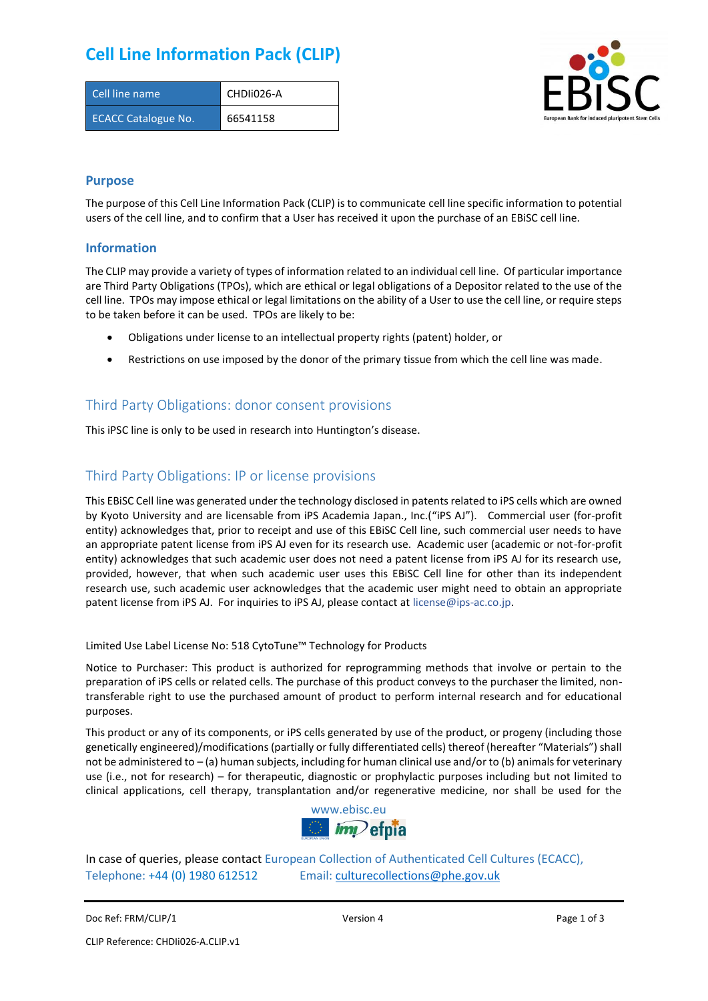## **Cell Line Information Pack (CLIP)**

| Cell line name             | CHDII026-A |
|----------------------------|------------|
| <b>ECACC Catalogue No.</b> | 66541158   |



### **Purpose**

The purpose of this Cell Line Information Pack (CLIP) is to communicate cell line specific information to potential users of the cell line, and to confirm that a User has received it upon the purchase of an EBiSC cell line.

#### **Information**

The CLIP may provide a variety of types of information related to an individual cell line. Of particular importance are Third Party Obligations (TPOs), which are ethical or legal obligations of a Depositor related to the use of the cell line. TPOs may impose ethical or legal limitations on the ability of a User to use the cell line, or require steps to be taken before it can be used. TPOs are likely to be:

- Obligations under license to an intellectual property rights (patent) holder, or
- Restrictions on use imposed by the donor of the primary tissue from which the cell line was made.

### Third Party Obligations: donor consent provisions

This iPSC line is only to be used in research into Huntington's disease.

### Third Party Obligations: IP or license provisions

This EBiSC Cell line was generated under the technology disclosed in patents related to iPS cells which are owned by Kyoto University and are licensable from iPS Academia Japan., Inc.("iPS AJ"). Commercial user (for-profit entity) acknowledges that, prior to receipt and use of this EBiSC Cell line, such commercial user needs to have an appropriate patent license from iPS AJ even for its research use. Academic user (academic or not-for-profit entity) acknowledges that such academic user does not need a patent license from iPS AJ for its research use, provided, however, that when such academic user uses this EBiSC Cell line for other than its independent research use, such academic user acknowledges that the academic user might need to obtain an appropriate patent license from iPS AJ. For inquiries to iPS AJ, please contact at [license@ips-ac.co.jp.](mailto:license@ips-ac.co.jp)

Limited Use Label License No: 518 CytoTune™ Technology for Products

Notice to Purchaser: This product is authorized for reprogramming methods that involve or pertain to the preparation of iPS cells or related cells. The purchase of this product conveys to the purchaser the limited, nontransferable right to use the purchased amount of product to perform internal research and for educational purposes.

This product or any of its components, or iPS cells generated by use of the product, or progeny (including those genetically engineered)/modifications (partially or fully differentiated cells) thereof (hereafter "Materials") shall not be administered to – (a) human subjects, including for human clinical use and/or to (b) animals for veterinary use (i.e., not for research) – for therapeutic, diagnostic or prophylactic purposes including but not limited to clinical applications, cell therapy, transplantation and/or regenerative medicine, nor shall be used for the



In case of queries, please contact European Collection of Authenticated Cell Cultures (ECACC), Telephone: +44 (0) 1980 612512 Email: [culturecollections@phe.gov.uk](mailto:culturecollections@phe.gov.uk)

Doc Ref: FRM/CLIP/1 **Docessition 2** Page 1 of 3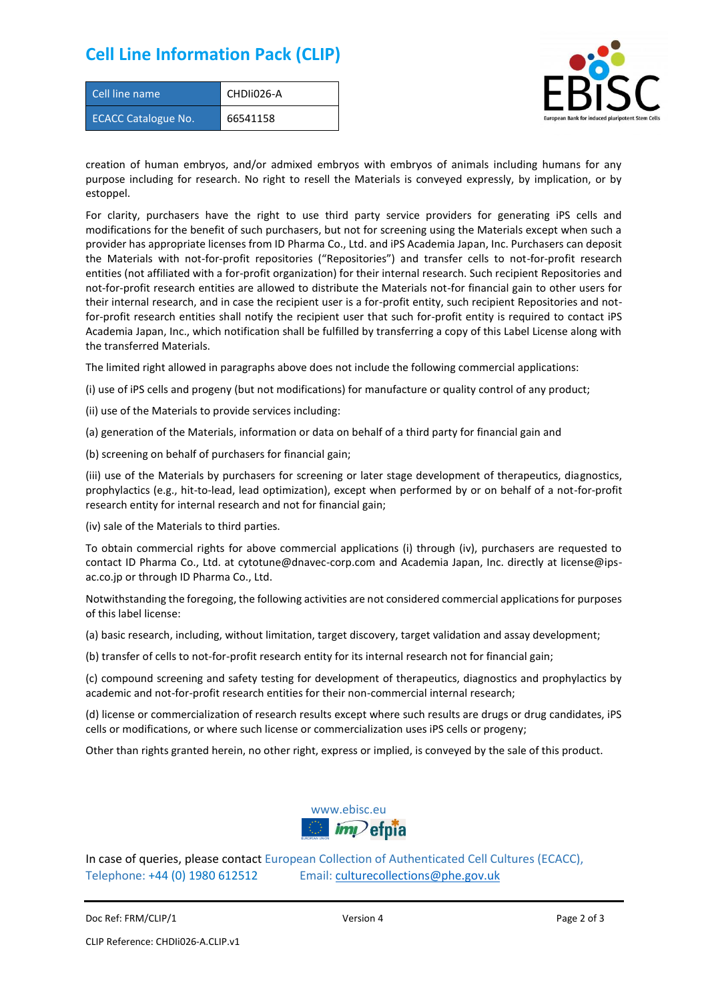### **Cell Line Information Pack (CLIP)**

| Cell line name             | CHDII026-A |
|----------------------------|------------|
| <b>ECACC Catalogue No.</b> | 66541158   |



creation of human embryos, and/or admixed embryos with embryos of animals including humans for any purpose including for research. No right to resell the Materials is conveyed expressly, by implication, or by estoppel.

For clarity, purchasers have the right to use third party service providers for generating iPS cells and modifications for the benefit of such purchasers, but not for screening using the Materials except when such a provider has appropriate licenses from ID Pharma Co., Ltd. and iPS Academia Japan, Inc. Purchasers can deposit the Materials with not-for-profit repositories ("Repositories") and transfer cells to not-for-profit research entities (not affiliated with a for-profit organization) for their internal research. Such recipient Repositories and not-for-profit research entities are allowed to distribute the Materials not-for financial gain to other users for their internal research, and in case the recipient user is a for-profit entity, such recipient Repositories and notfor-profit research entities shall notify the recipient user that such for-profit entity is required to contact iPS Academia Japan, Inc., which notification shall be fulfilled by transferring a copy of this Label License along with the transferred Materials.

The limited right allowed in paragraphs above does not include the following commercial applications:

(i) use of iPS cells and progeny (but not modifications) for manufacture or quality control of any product;

- (ii) use of the Materials to provide services including:
- (a) generation of the Materials, information or data on behalf of a third party for financial gain and

(b) screening on behalf of purchasers for financial gain;

(iii) use of the Materials by purchasers for screening or later stage development of therapeutics, diagnostics, prophylactics (e.g., hit-to-lead, lead optimization), except when performed by or on behalf of a not-for-profit research entity for internal research and not for financial gain;

(iv) sale of the Materials to third parties.

To obtain commercial rights for above commercial applications (i) through (iv), purchasers are requested to contact ID Pharma Co., Ltd. at cytotune@dnavec-corp.com and Academia Japan, Inc. directly at license@ipsac.co.jp or through ID Pharma Co., Ltd.

Notwithstanding the foregoing, the following activities are not considered commercial applications for purposes of this label license:

(a) basic research, including, without limitation, target discovery, target validation and assay development;

(b) transfer of cells to not-for-profit research entity for its internal research not for financial gain;

(c) compound screening and safety testing for development of therapeutics, diagnostics and prophylactics by academic and not-for-profit research entities for their non-commercial internal research;

(d) license or commercialization of research results except where such results are drugs or drug candidates, iPS cells or modifications, or where such license or commercialization uses iPS cells or progeny;

Other than rights granted herein, no other right, express or implied, is conveyed by the sale of this product.



In case of queries, please contact European Collection of Authenticated Cell Cultures (ECACC), Telephone: +44 (0) 1980 612512 Email: [culturecollections@phe.gov.uk](mailto:culturecollections@phe.gov.uk)

Doc Ref: FRM/CLIP/1 **Docessition 2** Page 2 of 3